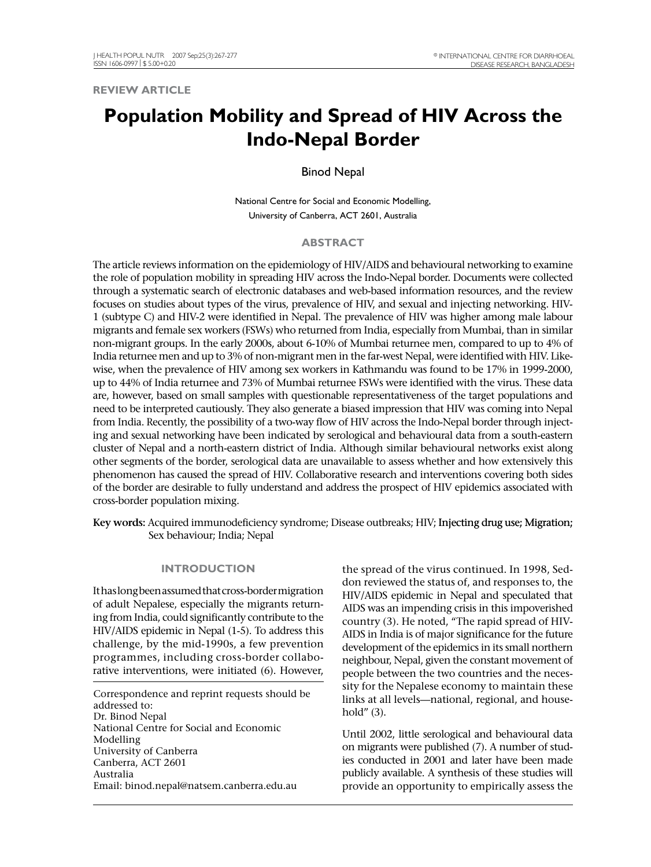**REVIEW ARTICLE**

# **Population Mobility and Spread of HIV Across the Indo-Nepal Border**

Binod Nepal

National Centre for Social and Economic Modelling, University of Canberra, ACT 2601, Australia

## **ABSTRACT**

The article reviews information on the epidemiology of HIV/AIDS and behavioural networking to examine the role of population mobility in spreading HIV across the Indo-Nepal border. Documents were collected through a systematic search of electronic databases and web-based information resources, and the review focuses on studies about types of the virus, prevalence of HIV, and sexual and injecting networking. HIV-1 (subtype C) and HIV-2 were identified in Nepal. The prevalence of HIV was higher among male labour migrants and female sex workers (FSWs) who returned from India, especially from Mumbai, than in similar non-migrant groups. In the early 2000s, about 6-10% of Mumbai returnee men, compared to up to 4% of India returnee men and up to 3% of non-migrant men in the far-west Nepal, were identified with HIV. Likewise, when the prevalence of HIV among sex workers in Kathmandu was found to be 17% in 1999-2000, up to 44% of India returnee and 73% of Mumbai returnee FSWs were identified with the virus. These data are, however, based on small samples with questionable representativeness of the target populations and need to be interpreted cautiously. They also generate a biased impression that HIV was coming into Nepal from India. Recently, the possibility of a two-way flow of HIV across the Indo-Nepal border through injecting and sexual networking have been indicated by serological and behavioural data from a south-eastern cluster of Nepal and a north-eastern district of India. Although similar behavioural networks exist along other segments of the border, serological data are unavailable to assess whether and how extensively this phenomenon has caused the spread of HIV. Collaborative research and interventions covering both sides of the border are desirable to fully understand and address the prospect of HIV epidemics associated with cross-border population mixing.

Key words: Acquired immunodeficiency syndrome; Disease outbreaks; HIV; Injecting drug use; Migration; Sex behaviour; India; Nepal

#### **INTRODUCTION**

It has long been assumed that cross-border migration of adult Nepalese, especially the migrants returning from India, could significantly contribute to the HIV/AIDS epidemic in Nepal (1-5). To address this challenge, by the mid-1990s, a few prevention programmes, including cross-border collaborative interventions, were initiated (6). However,

Correspondence and reprint requests should be addressed to: Dr. Binod Nepal National Centre for Social and Economic Modelling University of Canberra Canberra, ACT 2601 Australia Email: binod.nepal@natsem.canberra.edu.au

the spread of the virus continued. In 1998, Seddon reviewed the status of, and responses to, the HIV/AIDS epidemic in Nepal and speculated that AIDS was an impending crisis in this impoverished country (3). He noted, "The rapid spread of HIV-AIDS in India is of major significance for the future development of the epidemics in its small northern neighbour, Nepal, given the constant movement of people between the two countries and the necessity for the Nepalese economy to maintain these links at all levels—national, regional, and household" (3).

Until 2002, little serological and behavioural data on migrants were published (7). A number of studies conducted in 2001 and later have been made publicly available. A synthesis of these studies will provide an opportunity to empirically assess the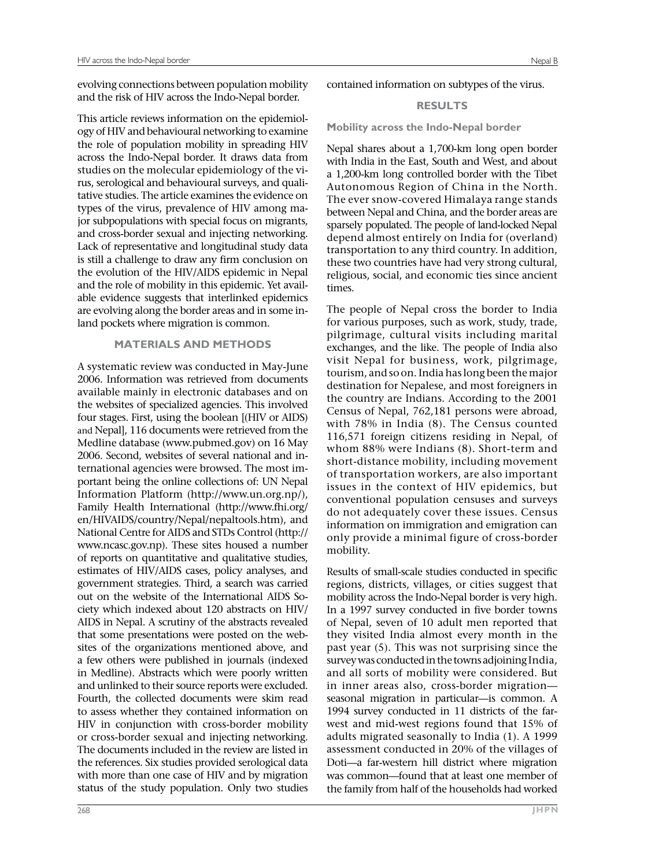evolving connections between population mobility and the risk of HIV across the Indo-Nepal border.

This article reviews information on the epidemiology of HIV and behavioural networking to examine the role of population mobility in spreading HIV across the Indo-Nepal border. It draws data from studies on the molecular epidemiology of the virus, serological and behavioural surveys, and qualitative studies. The article examines the evidence on types of the virus, prevalence of HIV among major subpopulations with special focus on migrants, and cross-border sexual and injecting networking. Lack of representative and longitudinal study data is still a challenge to draw any firm conclusion on the evolution of the HIV/AIDS epidemic in Nepal and the role of mobility in this epidemic. Yet available evidence suggests that interlinked epidemics are evolving along the border areas and in some inland pockets where migration is common.

## **MATERIALS AND METHODS**

A systematic review was conducted in May-June 2006. Information was retrieved from documents available mainly in electronic databases and on the websites of specialized agencies. This involved four stages. First, using the boolean [(HIV or AIDS) and Nepal], 116 documents were retrieved from the Medline database (www.pubmed.gov) on 16 May 2006. Second, websites of several national and international agencies were browsed. The most important being the online collections of: UN Nepal Information Platform (http://www.un.org.np/), Family Health International (http://www.fhi.org/ en/HIVAIDS/country/Nepal/nepaltools.htm), and National Centre for AIDS and STDs Control (http:// www.ncasc.gov.np). These sites housed a number of reports on quantitative and qualitative studies, estimates of HIV/AIDS cases, policy analyses, and government strategies. Third, a search was carried out on the website of the International AIDS Society which indexed about 120 abstracts on HIV/ AIDS in Nepal. A scrutiny of the abstracts revealed that some presentations were posted on the websites of the organizations mentioned above, and a few others were published in journals (indexed in Medline). Abstracts which were poorly written and unlinked to their source reports were excluded. Fourth, the collected documents were skim read to assess whether they contained information on HIV in conjunction with cross-border mobility or cross-border sexual and injecting networking. The documents included in the review are listed in the references. Six studies provided serological data with more than one case of HIV and by migration status of the study population. Only two studies

contained information on subtypes of the virus.

## **RESULTS**

**Mobility across the Indo-Nepal border**

Nepal shares about a 1,700-km long open border with India in the East, South and West, and about a 1,200-km long controlled border with the Tibet Autonomous Region of China in the North. The ever snow-covered Himalaya range stands between Nepal and China, and the border areas are sparsely populated. The people of land-locked Nepal depend almost entirely on India for (overland) transportation to any third country. In addition, these two countries have had very strong cultural, religious, social, and economic ties since ancient times.

The people of Nepal cross the border to India for various purposes, such as work, study, trade, pilgrimage, cultural visits including marital exchanges, and the like. The people of India also visit Nepal for business, work, pilgrimage, tourism, and so on. India has long been the major destination for Nepalese, and most foreigners in the country are Indians. According to the 2001 Census of Nepal, 762,181 persons were abroad, with 78% in India (8). The Census counted 116,571 foreign citizens residing in Nepal, of whom 88% were Indians (8). Short-term and short-distance mobility, including movement of transportation workers, are also important issues in the context of HIV epidemics, but conventional population censuses and surveys do not adequately cover these issues. Census information on immigration and emigration can only provide a minimal figure of cross-border mobility.

Results of small-scale studies conducted in specific regions, districts, villages, or cities suggest that mobility across the Indo-Nepal border is very high. In a 1997 survey conducted in five border towns of Nepal, seven of 10 adult men reported that they visited India almost every month in the past year (5). This was not surprising since the survey was conducted in the towns adjoining India, and all sorts of mobility were considered. But in inner areas also, cross-border migration seasonal migration in particular—is common. A 1994 survey conducted in 11 districts of the farwest and mid-west regions found that 15% of adults migrated seasonally to India (1). A 1999 assessment conducted in 20% of the villages of Doti—a far-western hill district where migration was common—found that at least one member of the family from half of the households had worked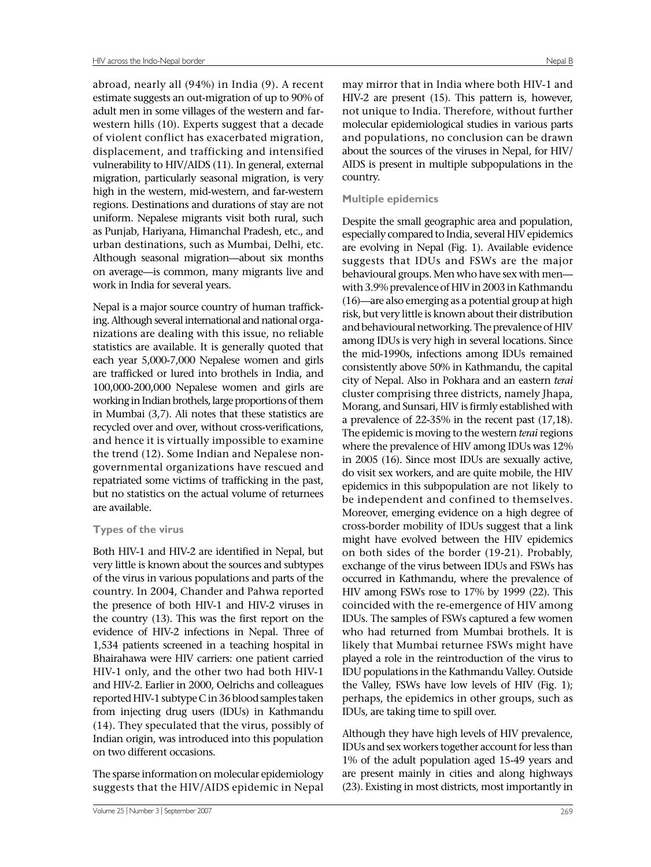abroad, nearly all (94%) in India (9). A recent estimate suggests an out-migration of up to 90% of adult men in some villages of the western and farwestern hills (10). Experts suggest that a decade of violent conflict has exacerbated migration, displacement, and trafficking and intensified vulnerability to HIV/AIDS (11). In general, external migration, particularly seasonal migration, is very high in the western, mid-western, and far-western regions. Destinations and durations of stay are not uniform. Nepalese migrants visit both rural, such as Punjab, Hariyana, Himanchal Pradesh, etc., and urban destinations, such as Mumbai, Delhi, etc. Although seasonal migration—about six months on average—is common, many migrants live and work in India for several years.

Nepal is a major source country of human trafficking. Although several international and national organizations are dealing with this issue, no reliable statistics are available. It is generally quoted that each year 5,000-7,000 Nepalese women and girls are trafficked or lured into brothels in India, and 100,000-200,000 Nepalese women and girls are working in Indian brothels, large proportions of them in Mumbai (3,7). Ali notes that these statistics are recycled over and over, without cross-verifications, and hence it is virtually impossible to examine the trend (12). Some Indian and Nepalese nongovernmental organizations have rescued and repatriated some victims of trafficking in the past, but no statistics on the actual volume of returnees are available.

## **Types of the virus**

Both HIV-1 and HIV-2 are identified in Nepal, but very little is known about the sources and subtypes of the virus in various populations and parts of the country. In 2004, Chander and Pahwa reported the presence of both HIV-1 and HIV-2 viruses in the country (13). This was the first report on the evidence of HIV-2 infections in Nepal. Three of 1,534 patients screened in a teaching hospital in Bhairahawa were HIV carriers: one patient carried HIV-1 only, and the other two had both HIV-1 and HIV-2. Earlier in 2000, Oelrichs and colleagues reported HIV-1 subtype C in 36 blood samples taken from injecting drug users (IDUs) in Kathmandu (14). They speculated that the virus, possibly of Indian origin, was introduced into this population on two different occasions.

The sparse information on molecular epidemiology suggests that the HIV/AIDS epidemic in Nepal

may mirror that in India where both HIV-1 and HIV-2 are present (15). This pattern is, however, not unique to India. Therefore, without further molecular epidemiological studies in various parts and populations, no conclusion can be drawn about the sources of the viruses in Nepal, for HIV/ AIDS is present in multiple subpopulations in the country.

## **Multiple epidemics**

Despite the small geographic area and population, especially compared to India, several HIV epidemics are evolving in Nepal (Fig. 1). Available evidence suggests that IDUs and FSWs are the major behavioural groups. Men who have sex with men with 3.9% prevalence of HIV in 2003 in Kathmandu (16)—are also emerging as a potential group at high risk, but very little is known about their distribution and behavioural networking. The prevalence of HIV among IDUs is very high in several locations. Since the mid-1990s, infections among IDUs remained consistently above 50% in Kathmandu, the capital city of Nepal. Also in Pokhara and an eastern *terai* cluster comprising three districts, namely Jhapa, Morang, and Sunsari, HIV is firmly established with a prevalence of 22-35% in the recent past (17,18). The epidemic is moving to the western *terai* regions where the prevalence of HIV among IDUs was 12% in 2005 (16). Since most IDUs are sexually active, do visit sex workers, and are quite mobile, the HIV epidemics in this subpopulation are not likely to be independent and confined to themselves. Moreover, emerging evidence on a high degree of cross-border mobility of IDUs suggest that a link might have evolved between the HIV epidemics on both sides of the border (19-21). Probably, exchange of the virus between IDUs and FSWs has occurred in Kathmandu, where the prevalence of HIV among FSWs rose to 17% by 1999 (22). This coincided with the re-emergence of HIV among IDUs. The samples of FSWs captured a few women who had returned from Mumbai brothels. It is likely that Mumbai returnee FSWs might have played a role in the reintroduction of the virus to IDU populations in the Kathmandu Valley. Outside the Valley, FSWs have low levels of HIV (Fig. 1); perhaps, the epidemics in other groups, such as IDUs, are taking time to spill over.

Although they have high levels of HIV prevalence, IDUs and sex workers together account for less than 1% of the adult population aged 15-49 years and are present mainly in cities and along highways (23). Existing in most districts, most importantly in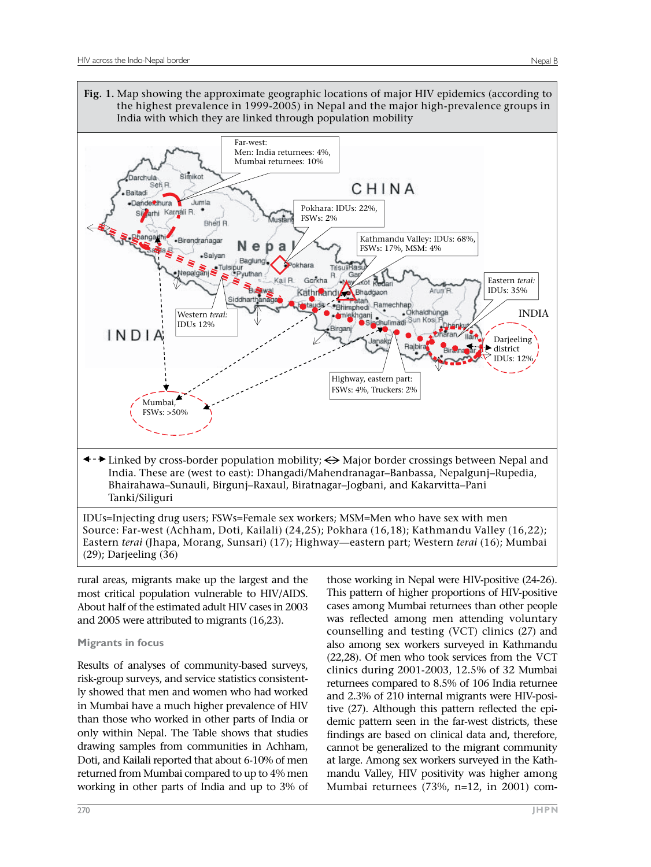

rural areas, migrants make up the largest and the most critical population vulnerable to HIV/AIDS. About half of the estimated adult HIV cases in 2003 and 2005 were attributed to migrants (16,23).

# **Migrants in focus**

Results of analyses of community-based surveys, risk-group surveys, and service statistics consistently showed that men and women who had worked in Mumbai have a much higher prevalence of HIV than those who worked in other parts of India or only within Nepal. The Table shows that studies drawing samples from communities in Achham, Doti, and Kailali reported that about 6-10% of men returned from Mumbai compared to up to 4% men working in other parts of India and up to 3% of

those working in Nepal were HIV-positive (24-26). This pattern of higher proportions of HIV-positive cases among Mumbai returnees than other people was reflected among men attending voluntary counselling and testing (VCT) clinics (27) and also among sex workers surveyed in Kathmandu (22,28). Of men who took services from the VCT clinics during 2001-2003, 12.5% of 32 Mumbai returnees compared to 8.5% of 106 India returnee and 2.3% of 210 internal migrants were HIV-positive (27). Although this pattern reflected the epidemic pattern seen in the far-west districts, these findings are based on clinical data and, therefore, cannot be generalized to the migrant community at large. Among sex workers surveyed in the Kathmandu Valley, HIV positivity was higher among Mumbai returnees (73%, n=12, in 2001) com-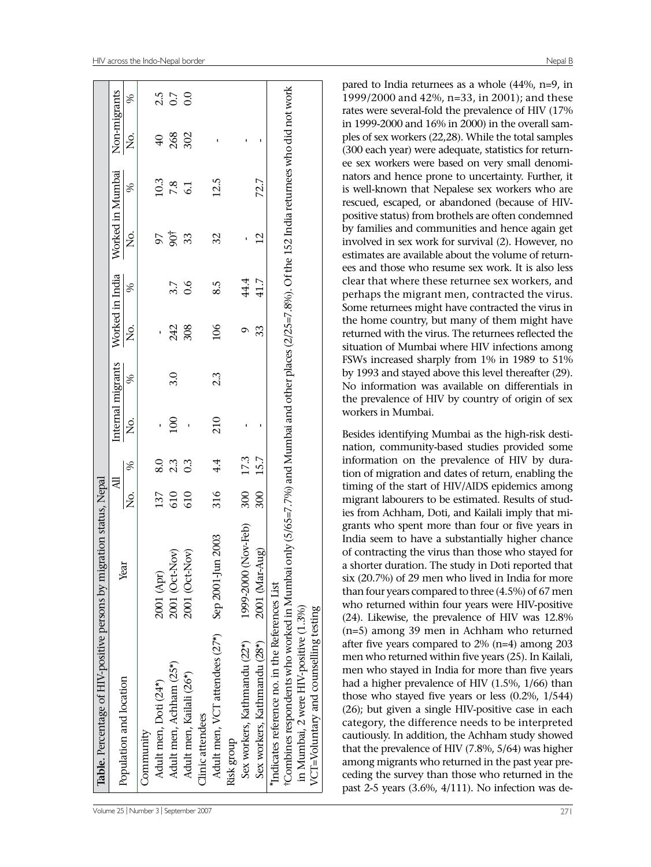| $\%$ |                                                                           | $2.5$<br>0.7 |                                                       |                                                                    |                                                                                                                                                                                             |                                                                                                  |                           |                                                                                                                                                                                   | pared to India returnees as a whole (44%, n=9, in                                                                                                                                                                                                                                                                                        |
|------|---------------------------------------------------------------------------|--------------|-------------------------------------------------------|--------------------------------------------------------------------|---------------------------------------------------------------------------------------------------------------------------------------------------------------------------------------------|--------------------------------------------------------------------------------------------------|---------------------------|-----------------------------------------------------------------------------------------------------------------------------------------------------------------------------------|------------------------------------------------------------------------------------------------------------------------------------------------------------------------------------------------------------------------------------------------------------------------------------------------------------------------------------------|
|      |                                                                           |              |                                                       |                                                                    |                                                                                                                                                                                             |                                                                                                  |                           |                                                                                                                                                                                   | 1999/2000 and 42%, n=33, in 2001); and these<br>rates were several-fold the prevalence of HIV (17%                                                                                                                                                                                                                                       |
|      |                                                                           |              |                                                       |                                                                    |                                                                                                                                                                                             |                                                                                                  | $\blacksquare$            |                                                                                                                                                                                   | in 1999-2000 and 16% in 2000) in the overall sam-<br>ples of sex workers (22,28). While the total samples                                                                                                                                                                                                                                |
|      |                                                                           |              |                                                       |                                                                    |                                                                                                                                                                                             |                                                                                                  |                           |                                                                                                                                                                                   | (300 each year) were adequate, statistics for return-<br>ee sex workers were based on very small denomi-                                                                                                                                                                                                                                 |
|      |                                                                           |              |                                                       |                                                                    |                                                                                                                                                                                             |                                                                                                  |                           |                                                                                                                                                                                   | nators and hence prone to uncertainty. Further, it<br>is well-known that Nepalese sex workers who are                                                                                                                                                                                                                                    |
|      |                                                                           |              |                                                       |                                                                    |                                                                                                                                                                                             |                                                                                                  |                           |                                                                                                                                                                                   | rescued, escaped, or abandoned (because of HIV-                                                                                                                                                                                                                                                                                          |
|      |                                                                           |              |                                                       |                                                                    |                                                                                                                                                                                             |                                                                                                  |                           |                                                                                                                                                                                   | positive status) from brothels are often condemned<br>by families and communities and hence again get                                                                                                                                                                                                                                    |
|      |                                                                           |              |                                                       |                                                                    |                                                                                                                                                                                             |                                                                                                  |                           |                                                                                                                                                                                   | involved in sex work for survival (2). However, no<br>estimates are available about the volume of return-                                                                                                                                                                                                                                |
|      |                                                                           |              |                                                       |                                                                    |                                                                                                                                                                                             |                                                                                                  |                           |                                                                                                                                                                                   | ees and those who resume sex work. It is also less                                                                                                                                                                                                                                                                                       |
| %    |                                                                           |              |                                                       |                                                                    | 8.5                                                                                                                                                                                         |                                                                                                  |                           |                                                                                                                                                                                   | clear that where these returnee sex workers, and<br>perhaps the migrant men, contracted the virus.                                                                                                                                                                                                                                       |
|      |                                                                           |              |                                                       |                                                                    |                                                                                                                                                                                             |                                                                                                  |                           |                                                                                                                                                                                   | Some returnees might have contracted the virus in                                                                                                                                                                                                                                                                                        |
|      |                                                                           |              |                                                       |                                                                    |                                                                                                                                                                                             |                                                                                                  |                           |                                                                                                                                                                                   | the home country, but many of them might have<br>returned with the virus. The returnees reflected the                                                                                                                                                                                                                                    |
|      |                                                                           |              |                                                       |                                                                    |                                                                                                                                                                                             |                                                                                                  |                           |                                                                                                                                                                                   | situation of Mumbai where HIV infections among                                                                                                                                                                                                                                                                                           |
|      |                                                                           |              |                                                       |                                                                    |                                                                                                                                                                                             |                                                                                                  |                           |                                                                                                                                                                                   | FSWs increased sharply from 1% in 1989 to 51%<br>by 1993 and stayed above this level thereafter (29).                                                                                                                                                                                                                                    |
|      |                                                                           |              |                                                       |                                                                    |                                                                                                                                                                                             |                                                                                                  |                           |                                                                                                                                                                                   | No information was available on differentials in                                                                                                                                                                                                                                                                                         |
|      |                                                                           |              |                                                       |                                                                    |                                                                                                                                                                                             |                                                                                                  |                           |                                                                                                                                                                                   | the prevalence of HIV by country of origin of sex<br>workers in Mumbai.                                                                                                                                                                                                                                                                  |
| ż    |                                                                           |              |                                                       |                                                                    | 210                                                                                                                                                                                         |                                                                                                  |                           |                                                                                                                                                                                   | Besides identifying Mumbai as the high-risk desti-                                                                                                                                                                                                                                                                                       |
|      |                                                                           |              |                                                       |                                                                    |                                                                                                                                                                                             |                                                                                                  |                           |                                                                                                                                                                                   | nation, community-based studies provided some                                                                                                                                                                                                                                                                                            |
| %    |                                                                           |              |                                                       |                                                                    | 4.4                                                                                                                                                                                         |                                                                                                  |                           |                                                                                                                                                                                   | information on the prevalence of HIV by dura-<br>tion of migration and dates of return, enabling the                                                                                                                                                                                                                                     |
|      |                                                                           |              |                                                       |                                                                    |                                                                                                                                                                                             |                                                                                                  |                           |                                                                                                                                                                                   | timing of the start of HIV/AIDS epidemics among                                                                                                                                                                                                                                                                                          |
|      |                                                                           |              |                                                       |                                                                    |                                                                                                                                                                                             |                                                                                                  |                           |                                                                                                                                                                                   | migrant labourers to be estimated. Results of stud-<br>ies from Achham, Doti, and Kailali imply that mi-                                                                                                                                                                                                                                 |
|      |                                                                           |              |                                                       |                                                                    |                                                                                                                                                                                             |                                                                                                  |                           |                                                                                                                                                                                   | grants who spent more than four or five years in                                                                                                                                                                                                                                                                                         |
|      |                                                                           |              |                                                       |                                                                    |                                                                                                                                                                                             |                                                                                                  |                           |                                                                                                                                                                                   | India seem to have a substantially higher chance<br>of contracting the virus than those who stayed for                                                                                                                                                                                                                                   |
|      |                                                                           |              |                                                       |                                                                    |                                                                                                                                                                                             |                                                                                                  |                           |                                                                                                                                                                                   | a shorter duration. The study in Doti reported that                                                                                                                                                                                                                                                                                      |
|      |                                                                           |              |                                                       |                                                                    |                                                                                                                                                                                             |                                                                                                  |                           |                                                                                                                                                                                   | six (20.7%) of 29 men who lived in India for more<br>than four years compared to three (4.5%) of 67 men                                                                                                                                                                                                                                  |
|      |                                                                           |              |                                                       |                                                                    |                                                                                                                                                                                             |                                                                                                  |                           |                                                                                                                                                                                   | who returned within four years were HIV-positive                                                                                                                                                                                                                                                                                         |
|      |                                                                           |              |                                                       |                                                                    |                                                                                                                                                                                             |                                                                                                  |                           |                                                                                                                                                                                   | (24). Likewise, the prevalence of HIV was 12.8%                                                                                                                                                                                                                                                                                          |
|      |                                                                           |              |                                                       |                                                                    |                                                                                                                                                                                             |                                                                                                  |                           |                                                                                                                                                                                   | (n=5) among 39 men in Achham who returned<br>after five years compared to 2% (n=4) among 203                                                                                                                                                                                                                                             |
|      |                                                                           |              |                                                       |                                                                    |                                                                                                                                                                                             |                                                                                                  |                           |                                                                                                                                                                                   | men who returned within five years (25). In Kailali,                                                                                                                                                                                                                                                                                     |
|      |                                                                           |              |                                                       |                                                                    |                                                                                                                                                                                             |                                                                                                  |                           |                                                                                                                                                                                   | men who stayed in India for more than five years<br>had a higher prevalence of HIV (1.5%, 1/66) than                                                                                                                                                                                                                                     |
|      |                                                                           |              |                                                       |                                                                    |                                                                                                                                                                                             |                                                                                                  |                           |                                                                                                                                                                                   | those who stayed five years or less $(0.2\%, 1/544)$                                                                                                                                                                                                                                                                                     |
|      |                                                                           |              |                                                       |                                                                    |                                                                                                                                                                                             |                                                                                                  |                           |                                                                                                                                                                                   | (26); but given a single HIV-positive case in each<br>category, the difference needs to be interpreted                                                                                                                                                                                                                                   |
|      |                                                                           |              |                                                       |                                                                    |                                                                                                                                                                                             |                                                                                                  |                           |                                                                                                                                                                                   | cautiously. In addition, the Achham study showed                                                                                                                                                                                                                                                                                         |
|      |                                                                           |              |                                                       |                                                                    |                                                                                                                                                                                             |                                                                                                  |                           |                                                                                                                                                                                   | that the prevalence of HIV (7.8%, 5/64) was higher                                                                                                                                                                                                                                                                                       |
|      |                                                                           |              |                                                       |                                                                    |                                                                                                                                                                                             |                                                                                                  |                           |                                                                                                                                                                                   | among migrants who returned in the past year pre-<br>ceding the survey than those who returned in the                                                                                                                                                                                                                                    |
|      |                                                                           |              |                                                       |                                                                    |                                                                                                                                                                                             |                                                                                                  |                           |                                                                                                                                                                                   | past 2-5 years (3.6%, 4/111). No infection was de-                                                                                                                                                                                                                                                                                       |
|      | ğ.<br>$\%$<br>,<br>Š<br>2.<br>%<br>Σò.<br>Year<br>Population and location | Community    | $\blacksquare$<br>2001 (Apr)<br>Adult men, Doti (24*) | 3.0<br>$\overline{5}$<br>2001 (Oct-Nov)<br>Adult men, Achham (25*) | $40$<br>$268$<br>$302$<br>$\frac{10.3}{7.8}$<br><b>95 33</b><br>$3.7$<br>0.6<br>242<br>308<br>0<br>0<br>0<br>0<br>0<br>0<br>$\frac{137}{610}$<br>2001 (Oct-Nov)<br>Adult men, Kailali (26*) | 12.5<br>32<br>106<br>2.3<br>316<br>in 2003<br>Adult men, VCT attendees (27*)<br>Clinic attendees | Sep 2001-Ju<br>Risk group | 72.7<br>12<br>41.7<br>44.4<br>33<br>$\sigma$<br>5.7<br>17.3<br>300<br>300<br>(Nov-Feb)<br>1999-2000<br>2001 (Mar-<br>Sex workers, Kathmandu (22*)<br>Sex workers, Kathmandu (28*) | only (5/65=7.7%) and Mumbai and other places (2/25=7.8%). Of the 152 India returnees who did not work<br>Aug)<br>tCombines respondents who worked in Mumba<br>*Indicates reference no. in the References List<br>VCT=Voluntary and counselling testing<br>in Mumbai, 2 were HIV-positive (1.3%)<br>Volume 25   Number 3   September 2007 |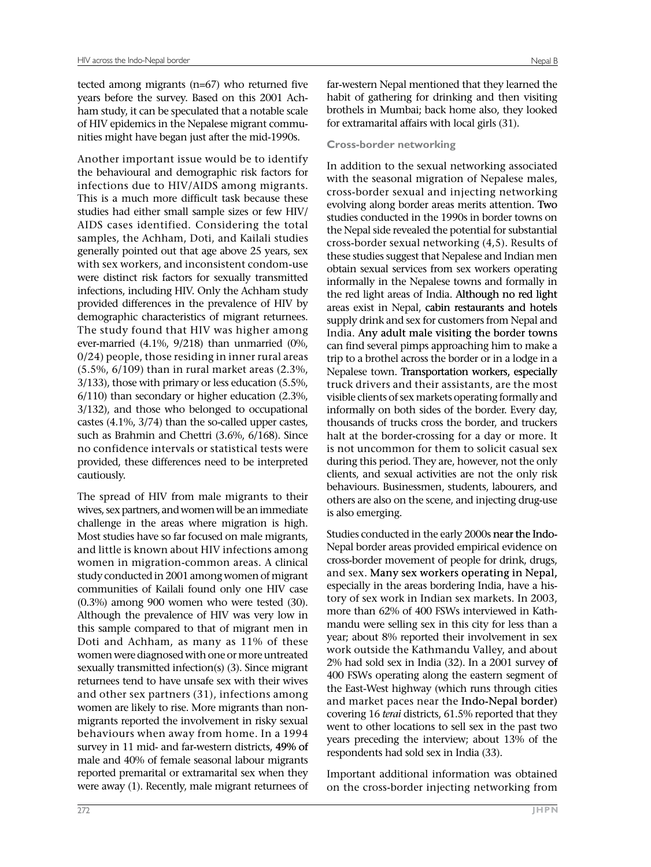tected among migrants (n=67) who returned five years before the survey. Based on this 2001 Achham study, it can be speculated that a notable scale of HIV epidemics in the Nepalese migrant communities might have began just after the mid-1990s.

Another important issue would be to identify the behavioural and demographic risk factors for infections due to HIV/AIDS among migrants. This is a much more difficult task because these studies had either small sample sizes or few HIV/ AIDS cases identified. Considering the total samples, the Achham, Doti, and Kailali studies generally pointed out that age above 25 years, sex with sex workers, and inconsistent condom-use were distinct risk factors for sexually transmitted infections, including HIV. Only the Achham study provided differences in the prevalence of HIV by demographic characteristics of migrant returnees. The study found that HIV was higher among ever-married (4.1%, 9/218) than unmarried (0%, 0/24) people, those residing in inner rural areas (5.5%, 6/109) than in rural market areas (2.3%, 3/133), those with primary or less education (5.5%, 6/110) than secondary or higher education (2.3%, 3/132), and those who belonged to occupational castes (4.1%, 3/74) than the so-called upper castes, such as Brahmin and Chettri (3.6%, 6/168). Since no confidence intervals or statistical tests were provided, these differences need to be interpreted cautiously.

The spread of HIV from male migrants to their wives, sex partners, and women will be an immediate challenge in the areas where migration is high. Most studies have so far focused on male migrants, and little is known about HIV infections among women in migration-common areas. A clinical study conducted in 2001 among women of migrant communities of Kailali found only one HIV case (0.3%) among 900 women who were tested (30). Although the prevalence of HIV was very low in this sample compared to that of migrant men in Doti and Achham, as many as 11% of these women were diagnosed with one or more untreated sexually transmitted infection(s) (3). Since migrant returnees tend to have unsafe sex with their wives and other sex partners (31), infections among women are likely to rise. More migrants than nonmigrants reported the involvement in risky sexual behaviours when away from home. In a 1994 survey in 11 mid- and far-western districts, 49% of male and 40% of female seasonal labour migrants reported premarital or extramarital sex when they were away (1). Recently, male migrant returnees of

far-western Nepal mentioned that they learned the habit of gathering for drinking and then visiting brothels in Mumbai; back home also, they looked for extramarital affairs with local girls (31).

## **Cross-border networking**

In addition to the sexual networking associated with the seasonal migration of Nepalese males, cross-border sexual and injecting networking evolving along border areas merits attention. Two studies conducted in the 1990s in border towns on the Nepal side revealed the potential for substantial cross-border sexual networking (4,5). Results of these studies suggest that Nepalese and Indian men obtain sexual services from sex workers operating informally in the Nepalese towns and formally in the red light areas of India. Although no red light areas exist in Nepal, cabin restaurants and hotels supply drink and sex for customers from Nepal and India. Any adult male visiting the border towns can find several pimps approaching him to make a trip to a brothel across the border or in a lodge in a Nepalese town. Transportation workers, especially truck drivers and their assistants, are the most visible clients of sex markets operating formally and informally on both sides of the border. Every day, thousands of trucks cross the border, and truckers halt at the border-crossing for a day or more. It is not uncommon for them to solicit casual sex during this period. They are, however, not the only clients, and sexual activities are not the only risk behaviours. Businessmen, students, labourers, and others are also on the scene, and injecting drug-use is also emerging.

Studies conducted in the early 2000s near the Indo-Nepal border areas provided empirical evidence on cross-border movement of people for drink, drugs, and sex. Many sex workers operating in Nepal, especially in the areas bordering India, have a history of sex work in Indian sex markets. In 2003, more than 62% of 400 FSWs interviewed in Kathmandu were selling sex in this city for less than a year; about 8% reported their involvement in sex work outside the Kathmandu Valley, and about 2% had sold sex in India (32). In a 2001 survey of 400 FSWs operating along the eastern segment of the East-West highway (which runs through cities and market paces near the Indo-Nepal border) covering 16 *terai* districts, 61.5% reported that they went to other locations to sell sex in the past two years preceding the interview; about 13% of the respondents had sold sex in India (33).

Important additional information was obtained on the cross-border injecting networking from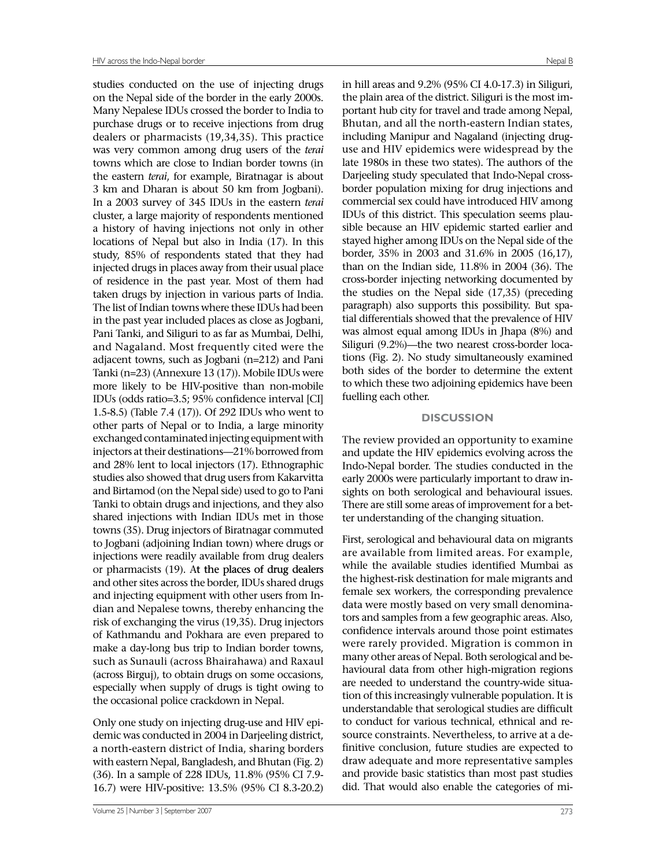studies conducted on the use of injecting drugs on the Nepal side of the border in the early 2000s. Many Nepalese IDUs crossed the border to India to purchase drugs or to receive injections from drug dealers or pharmacists (19,34,35). This practice was very common among drug users of the *terai* towns which are close to Indian border towns (in the eastern *terai*, for example, Biratnagar is about 3 km and Dharan is about 50 km from Jogbani). In a 2003 survey of 345 IDUs in the eastern *terai* cluster, a large majority of respondents mentioned a history of having injections not only in other locations of Nepal but also in India (17). In this study, 85% of respondents stated that they had injected drugs in places away from their usual place of residence in the past year. Most of them had taken drugs by injection in various parts of India. The list of Indian towns where these IDUs had been in the past year included places as close as Jogbani, Pani Tanki, and Siliguri to as far as Mumbai, Delhi, and Nagaland. Most frequently cited were the adjacent towns, such as Jogbani (n=212) and Pani Tanki (n=23) (Annexure 13 (17)). Mobile IDUs were more likely to be HIV-positive than non-mobile IDUs (odds ratio=3.5; 95% confidence interval [CI] 1.5-8.5) (Table 7.4 (17)). Of 292 IDUs who went to other parts of Nepal or to India, a large minority exchanged contaminated injecting equipment with injectors at their destinations—21% borrowed from and 28% lent to local injectors (17). Ethnographic studies also showed that drug users from Kakarvitta and Birtamod (on the Nepal side) used to go to Pani Tanki to obtain drugs and injections, and they also shared injections with Indian IDUs met in those towns (35). Drug injectors of Biratnagar commuted to Jogbani (adjoining Indian town) where drugs or injections were readily available from drug dealers or pharmacists  $(19)$ . At the places of drug dealers and other sites across the border, IDUs shared drugs and injecting equipment with other users from Indian and Nepalese towns, thereby enhancing the risk of exchanging the virus (19,35). Drug injectors of Kathmandu and Pokhara are even prepared to make a day-long bus trip to Indian border towns, such as Sunauli (across Bhairahawa) and Raxaul (across Birguj), to obtain drugs on some occasions, especially when supply of drugs is tight owing to the occasional police crackdown in Nepal.

Only one study on injecting drug-use and HIV epidemic was conducted in 2004 in Darjeeling district, a north-eastern district of India, sharing borders with eastern Nepal, Bangladesh, and Bhutan (Fig. 2) (36). In a sample of 228 IDUs, 11.8% (95% CI 7.9- 16.7) were HIV-positive: 13.5% (95% CI 8.3-20.2)

in hill areas and 9.2% (95% CI 4.0-17.3) in Siliguri, the plain area of the district. Siliguri is the most important hub city for travel and trade among Nepal, Bhutan, and all the north-eastern Indian states, including Manipur and Nagaland (injecting druguse and HIV epidemics were widespread by the late 1980s in these two states). The authors of the Darjeeling study speculated that Indo-Nepal crossborder population mixing for drug injections and commercial sex could have introduced HIV among IDUs of this district. This speculation seems plausible because an HIV epidemic started earlier and stayed higher among IDUs on the Nepal side of the border, 35% in 2003 and 31.6% in 2005 (16,17), than on the Indian side, 11.8% in 2004 (36). The cross-border injecting networking documented by the studies on the Nepal side (17,35) (preceding paragraph) also supports this possibility. But spatial differentials showed that the prevalence of HIV was almost equal among IDUs in Jhapa (8%) and Siliguri (9.2%)—the two nearest cross-border locations (Fig. 2). No study simultaneously examined both sides of the border to determine the extent to which these two adjoining epidemics have been fuelling each other.

#### **DISCUSSION**

The review provided an opportunity to examine and update the HIV epidemics evolving across the Indo-Nepal border. The studies conducted in the early 2000s were particularly important to draw insights on both serological and behavioural issues. There are still some areas of improvement for a better understanding of the changing situation.

First, serological and behavioural data on migrants are available from limited areas. For example, while the available studies identified Mumbai as the highest-risk destination for male migrants and female sex workers, the corresponding prevalence data were mostly based on very small denominators and samples from a few geographic areas. Also, confidence intervals around those point estimates were rarely provided. Migration is common in many other areas of Nepal. Both serological and behavioural data from other high-migration regions are needed to understand the country-wide situation of this increasingly vulnerable population. It is understandable that serological studies are difficult to conduct for various technical, ethnical and resource constraints. Nevertheless, to arrive at a definitive conclusion, future studies are expected to draw adequate and more representative samples and provide basic statistics than most past studies did. That would also enable the categories of mi-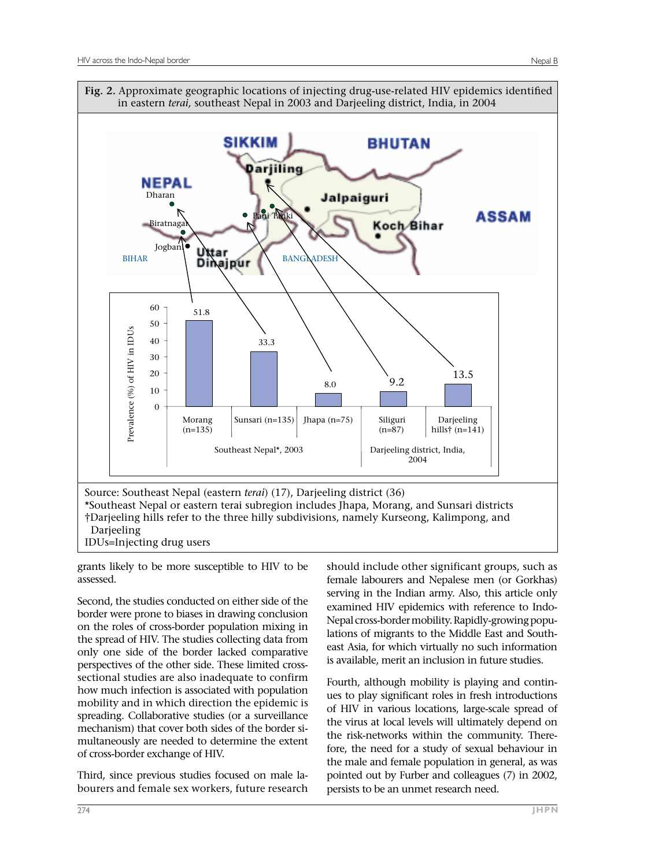

grants likely to be more susceptible to HIV to be assessed.

Second, the studies conducted on either side of the border were prone to biases in drawing conclusion on the roles of cross-border population mixing in the spread of HIV. The studies collecting data from only one side of the border lacked comparative perspectives of the other side. These limited crosssectional studies are also inadequate to confirm how much infection is associated with population mobility and in which direction the epidemic is spreading. Collaborative studies (or a surveillance mechanism) that cover both sides of the border simultaneously are needed to determine the extent of cross-border exchange of HIV.

Third, since previous studies focused on male labourers and female sex workers, future research should include other significant groups, such as female labourers and Nepalese men (or Gorkhas) serving in the Indian army. Also, this article only examined HIV epidemics with reference to Indo-Nepal cross-border mobility. Rapidly-growing populations of migrants to the Middle East and Southeast Asia, for which virtually no such information is available, merit an inclusion in future studies.

Fourth, although mobility is playing and continues to play significant roles in fresh introductions of HIV in various locations, large-scale spread of the virus at local levels will ultimately depend on the risk-networks within the community. Therefore, the need for a study of sexual behaviour in the male and female population in general, as was pointed out by Furber and colleagues (7) in 2002, persists to be an unmet research need.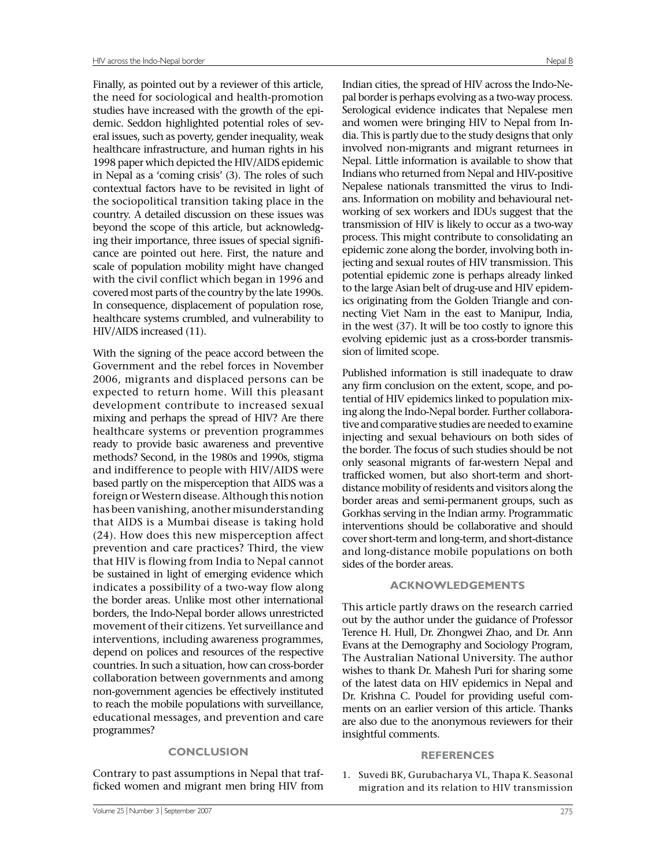Finally, as pointed out by a reviewer of this article, the need for sociological and health-promotion studies have increased with the growth of the epidemic. Seddon highlighted potential roles of several issues, such as poverty, gender inequality, weak healthcare infrastructure, and human rights in his 1998 paper which depicted the HIV/AIDS epidemic in Nepal as a 'coming crisis' (3). The roles of such contextual factors have to be revisited in light of the sociopolitical transition taking place in the country. A detailed discussion on these issues was beyond the scope of this article, but acknowledging their importance, three issues of special significance are pointed out here. First, the nature and scale of population mobility might have changed with the civil conflict which began in 1996 and covered most parts of the country by the late 1990s. In consequence, displacement of population rose, healthcare systems crumbled, and vulnerability to HIV/AIDS increased (11).

With the signing of the peace accord between the Government and the rebel forces in November 2006, migrants and displaced persons can be expected to return home. Will this pleasant development contribute to increased sexual mixing and perhaps the spread of HIV? Are there healthcare systems or prevention programmes ready to provide basic awareness and preventive methods? Second, in the 1980s and 1990s, stigma and indifference to people with HIV/AIDS were based partly on the misperception that AIDS was a foreign or Western disease. Although this notion has been vanishing, another misunderstanding that AIDS is a Mumbai disease is taking hold (24). How does this new misperception affect prevention and care practices? Third, the view that HIV is flowing from India to Nepal cannot be sustained in light of emerging evidence which indicates a possibility of a two-way flow along the border areas. Unlike most other international borders, the Indo-Nepal border allows unrestricted movement of their citizens. Yet surveillance and interventions, including awareness programmes, depend on polices and resources of the respective countries. In such a situation, how can cross-border collaboration between governments and among non-government agencies be effectively instituted to reach the mobile populations with surveillance, educational messages, and prevention and care programmes?

## **CONCLUSION**

Contrary to past assumptions in Nepal that trafficked women and migrant men bring HIV from

Indian cities, the spread of HIV across the Indo-Nepal border is perhaps evolving as a two-way process. Serological evidence indicates that Nepalese men and women were bringing HIV to Nepal from India. This is partly due to the study designs that only involved non-migrants and migrant returnees in Nepal. Little information is available to show that Indians who returned from Nepal and HIV-positive Nepalese nationals transmitted the virus to Indians. Information on mobility and behavioural networking of sex workers and IDUs suggest that the transmission of HIV is likely to occur as a two-way process. This might contribute to consolidating an epidemic zone along the border, involving both injecting and sexual routes of HIV transmission. This potential epidemic zone is perhaps already linked to the large Asian belt of drug-use and HIV epidemics originating from the Golden Triangle and connecting Viet Nam in the east to Manipur, India, in the west (37). It will be too costly to ignore this evolving epidemic just as a cross-border transmission of limited scope.

Published information is still inadequate to draw any firm conclusion on the extent, scope, and potential of HIV epidemics linked to population mixing along the Indo-Nepal border. Further collaborative and comparative studies are needed to examine injecting and sexual behaviours on both sides of the border. The focus of such studies should be not only seasonal migrants of far-western Nepal and trafficked women, but also short-term and shortdistance mobility of residents and visitors along the border areas and semi-permanent groups, such as Gorkhas serving in the Indian army. Programmatic interventions should be collaborative and should cover short-term and long-term, and short-distance and long-distance mobile populations on both sides of the border areas.

## **ACKNOWLEDGEMENTS**

This article partly draws on the research carried out by the author under the guidance of Professor Terence H. Hull, Dr. Zhongwei Zhao, and Dr. Ann Evans at the Demography and Sociology Program, The Australian National University. The author wishes to thank Dr. Mahesh Puri for sharing some of the latest data on HIV epidemics in Nepal and Dr. Krishna C. Poudel for providing useful comments on an earlier version of this article. Thanks are also due to the anonymous reviewers for their insightful comments.

#### **REFERENCES**

1. Suvedi BK, Gurubacharya VL, Thapa K. Seasonal migration and its relation to HIV transmission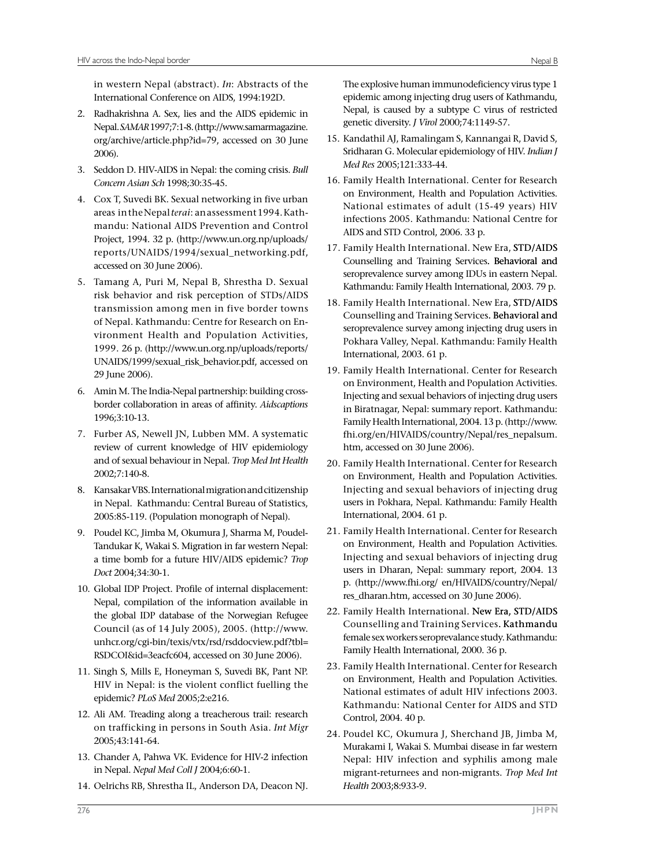in western Nepal (abstract). *In*: Abstracts of the International Conference on AIDS, 1994:192D.

- 2. Radhakrishna A. Sex, lies and the AIDS epidemic in Nepal. *SAMAR* 1997;7:1-8. (http://www.samarmagazine. org/archive/article.php?id=79, accessed on 30 June 2006).
- 3. Seddon D. HIV-AIDS in Nepal: the coming crisis. *Bull Concern Asian Sch* 1998;30:35-45.
- 4. Cox T, Suvedi BK. Sexual networking in five urban areas in the Nepal *terai*: an assessment 1994. Kathmandu: National AIDS Prevention and Control Project, 1994. 32 p. (http://www.un.org.np/uploads/ reports/UNAIDS/1994/sexual\_networking.pdf, accessed on 30 June 2006).
- 5. Tamang A, Puri M, Nepal B, Shrestha D. Sexual risk behavior and risk perception of STDs/AIDS transmission among men in five border towns of Nepal. Kathmandu: Centre for Research on Environment Health and Population Activities, 1999. 26 p. (http://www.un.org.np/uploads/reports/ UNAIDS/1999/sexual\_risk\_behavior.pdf, accessed on 29 June 2006).
- 6. Amin M. The India-Nepal partnership: building crossborder collaboration in areas of affinity. *Aidscaptions*  1996;3:10-13.
- 7. Furber AS, Newell JN, Lubben MM. A systematic review of current knowledge of HIV epidemiology and of sexual behaviour in Nepal. *Trop Med Int Health*  2002;7:140-8.
- 8. Kansakar VBS. International migration and citizenship in Nepal. Kathmandu: Central Bureau of Statistics, 2005:85-119. (Population monograph of Nepal).
- 9. Poudel KC, Jimba M, Okumura J, Sharma M, Poudel-Tandukar K, Wakai S. Migration in far western Nepal: a time bomb for a future HIV/AIDS epidemic? *Trop Doct* 2004;34:30-1.
- 10. Global IDP Project. Profile of internal displacement: Nepal, compilation of the information available in the global IDP database of the Norwegian Refugee Council (as of 14 July 2005), 2005. (http://www. unhcr.org/cgi-bin/texis/vtx/rsd/rsddocview.pdf?tbl= RSDCOI&id=3eacfc604, accessed on 30 June 2006).
- 11. Singh S, Mills E, Honeyman S, Suvedi BK, Pant NP. HIV in Nepal: is the violent conflict fuelling the epidemic? *PLoS Med* 2005;2:e216.
- 12. Ali AM. Treading along a treacherous trail: research on trafficking in persons in South Asia. *Int Migr*  2005;43:141-64.
- 13. Chander A, Pahwa VK. Evidence for HIV-2 infection in Nepal. *Nepal Med Coll J* 2004;6:60-1.
- 14. Oelrichs RB, Shrestha IL, Anderson DA, Deacon NJ.

The explosive human immunodeficiency virus type 1 epidemic among injecting drug users of Kathmandu, Nepal, is caused by a subtype C virus of restricted genetic diversity. *J Virol* 2000;74:1149-57.

- 15. Kandathil AJ, Ramalingam S, Kannangai R, David S, Sridharan G. Molecular epidemiology of HIV. *Indian J Med Res* 2005;121:333-44.
- 16. Family Health International. Center for Research on Environment, Health and Population Activities. National estimates of adult (15-49 years) HIV infections 2005. Kathmandu: National Centre for AIDS and STD Control, 2006. 33 p.
- 17. Family Health International. New Era, STD/AIDS Counselling and Training Services. Behavioral and seroprevalence survey among IDUs in eastern Nepal. Kathmandu: Family Health International, 2003. 79 p.
- 18. Family Health International. New Era, STD/AIDS Counselling and Training Services. Behavioral and seroprevalence survey among injecting drug users in Pokhara Valley, Nepal. Kathmandu: Family Health International, 2003. 61 p.
- 19. Family Health International. Center for Research on Environment, Health and Population Activities. Injecting and sexual behaviors of injecting drug users in Biratnagar, Nepal: summary report. Kathmandu: Family Health International, 2004. 13 p.(http://www. fhi.org/en/HIVAIDS/country/Nepal/res\_nepalsum. htm, accessed on 30 June 2006).
- 20. Family Health International. Center for Research on Environment, Health and Population Activities. Injecting and sexual behaviors of injecting drug users in Pokhara, Nepal. Kathmandu: Family Health International, 2004. 61 p.
- 21. Family Health International. Center for Research on Environment, Health and Population Activities. Injecting and sexual behaviors of injecting drug users in Dharan, Nepal: summary report, 2004. 13 p. (http://www.fhi.org/ en/HIVAIDS/country/Nepal/ res dharan.htm, accessed on 30 June 2006).
- 22. Family Health International. New Era, STD/AIDS Counselling and Training Services. Kathmandu female sex workers seroprevalance study. Kathmandu: Family Health International, 2000. 36 p.
- 23. Family Health International. Center for Research on Environment, Health and Population Activities. National estimates of adult HIV infections 2003. Kathmandu: National Center for AIDS and STD Control, 2004. 40 p.
- 24. Poudel KC, Okumura J, Sherchand JB, Jimba M, Murakami I, Wakai S. Mumbai disease in far western Nepal: HIV infection and syphilis among male migrant-returnees and non-migrants. *Trop Med Int Health* 2003;8:933-9.